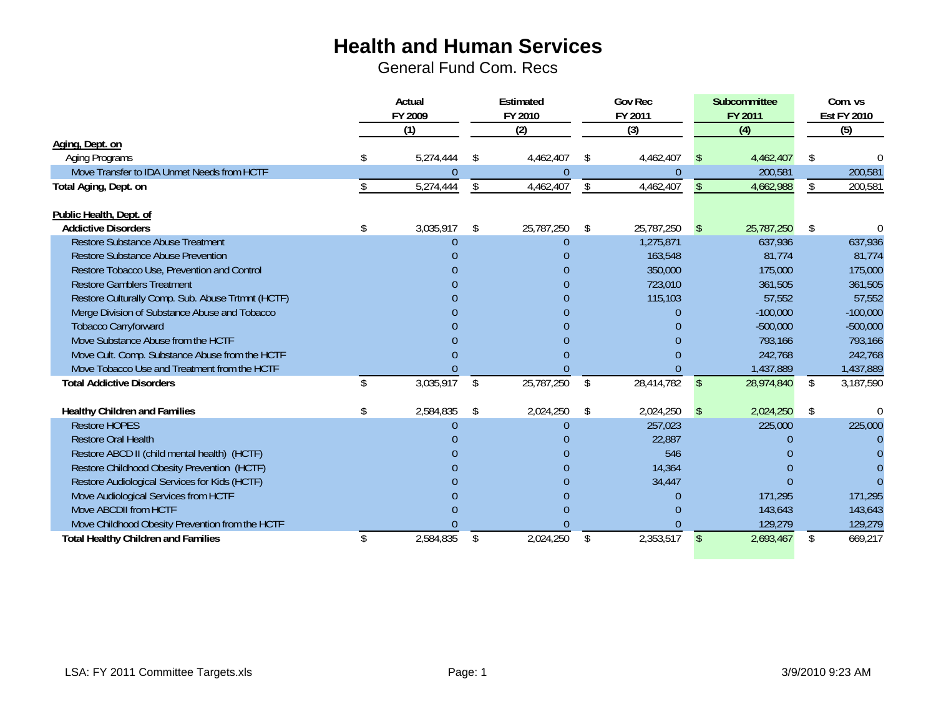|                                                              | Actual          |    | Estimated  |     | <b>Gov Rec</b> |               | Subcommittee |                    | Com. vs                |
|--------------------------------------------------------------|-----------------|----|------------|-----|----------------|---------------|--------------|--------------------|------------------------|
|                                                              | FY 2009         |    | FY 2010    |     | FY 2011        |               | FY 2011      | <b>Est FY 2010</b> |                        |
|                                                              | (1)             |    | (2)        |     | (3)            |               | (4)          |                    | (5)                    |
| Aging, Dept. on                                              |                 |    |            |     |                |               |              |                    |                        |
| Aging Programs                                               | 5,274,444       | \$ | 4,462,407  | \$. | 4,462,407      |               | 4,462,407    | \$                 |                        |
| Move Transfer to IDA Unmet Needs from HCTF                   | $\Omega$        |    | $\Omega$   |     | U              |               | 200,581      |                    | 200,581                |
| Total Aging, Dept. on                                        | 5,274,444       | \$ | 4,462,407  | \$  | 4,462,407      | $\mathbb{S}$  | 4,662,988    | \$                 | 200,581                |
| Public Health, Dept. of                                      |                 |    |            |     |                |               |              |                    |                        |
| <b>Addictive Disorders</b>                                   | \$<br>3,035,917 | \$ | 25,787,250 | \$  | 25,787,250     | <sup>\$</sup> | 25,787,250   | \$                 |                        |
| <b>Restore Substance Abuse Treatment</b>                     | O               |    | $\theta$   |     | 1,275,871      |               | 637,936      |                    | 637,936                |
| <b>Restore Substance Abuse Prevention</b>                    |                 |    |            |     | 163,548        |               | 81,774       |                    | 81,774                 |
| Restore Tobacco Use, Prevention and Control                  |                 |    |            |     | 350,000        |               | 175,000      |                    | 175,000                |
| <b>Restore Gamblers Treatment</b>                            |                 |    |            |     | 723,010        |               | 361,505      |                    | 361,505                |
| Restore Culturally Comp. Sub. Abuse Trtmnt (HCTF)            |                 |    |            |     | 115,103        |               | 57,552       |                    | 57,552                 |
| Merge Division of Substance Abuse and Tobacco                |                 |    |            |     |                |               | $-100,000$   |                    | $-100,000$             |
| <b>Tobacco Carryforward</b>                                  |                 |    |            |     |                |               | $-500,000$   |                    | $-500,000$             |
| Move Substance Abuse from the HCTF                           |                 |    |            |     |                |               | 793,166      |                    | 793,166                |
| Move Cult. Comp. Substance Abuse from the HCTF               |                 |    |            |     |                |               | 242,768      |                    | 242,768                |
| Move Tobacco Use and Treatment from the HCTF                 |                 |    |            |     |                |               | 1,437,889    |                    | 1,437,889              |
| <b>Total Addictive Disorders</b>                             | \$<br>3,035,917 | \$ | 25,787,250 | \$  | 28,414,782     | $\mathbb{S}$  | 28,974,840   | \$                 | $\overline{3,}187,590$ |
|                                                              | 2,584,835       |    | 2,024,250  |     | 2,024,250      |               | 2,024,250    |                    |                        |
| <b>Healthy Children and Families</b><br><b>Restore HOPES</b> | \$<br>$\Omega$  | S  | $\Omega$   | S   | 257,023        | <sup>\$</sup> | 225,000      | S                  | 225,000                |
| <b>Restore Oral Health</b>                                   |                 |    |            |     | 22,887         |               |              |                    |                        |
| Restore ABCD II (child mental health) (HCTF)                 |                 |    |            |     | 546            |               |              |                    |                        |
| Restore Childhood Obesity Prevention (HCTF)                  |                 |    |            |     | 14,364         |               |              |                    |                        |
| Restore Audiological Services for Kids (HCTF)                |                 |    |            |     | 34,447         |               |              |                    |                        |
| Move Audiological Services from HCTF                         |                 |    |            |     |                |               | 171,295      |                    | 171,295                |
| Move ABCDII from HCTF                                        |                 |    |            |     |                |               | 143,643      |                    | 143,643                |
| Move Childhood Obesity Prevention from the HCTF              |                 |    |            |     |                |               | 129,279      |                    | 129,279                |
| <b>Total Healthy Children and Families</b>                   | \$<br>2,584,835 | \$ | 2,024,250  | \$  | 2,353,517      | \$            | 2,693,467    | \$                 | 669,217                |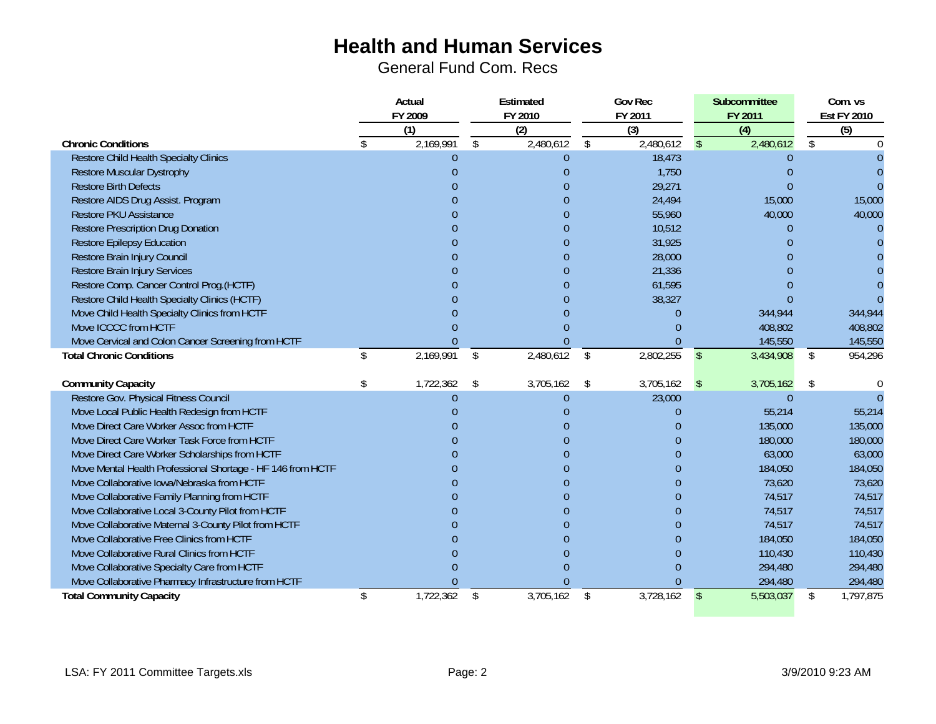|                                                             | Actual         |                             |                | Estimated      |                | <b>Gov Rec</b>            |              | Subcommittee                | Com. vs                   |
|-------------------------------------------------------------|----------------|-----------------------------|----------------|----------------|----------------|---------------------------|--------------|-----------------------------|---------------------------|
|                                                             |                | FY 2009<br>$\overline{(1)}$ |                | FY 2010<br>(2) |                | FY 2011<br>$\overline{3}$ |              | FY 2011<br>$\overline{(4)}$ | <b>Est FY 2010</b><br>(5) |
| <b>Chronic Conditions</b>                                   |                | 2,169,991                   | <sup>\$</sup>  | 2,480,612      | \$             | 2,480,612                 | $\mathbb{S}$ | 2,480,612                   | \$                        |
| <b>Restore Child Health Specialty Clinics</b>               |                |                             |                | 0              |                | 18,473                    |              | 0                           |                           |
| <b>Restore Muscular Dystrophy</b>                           |                |                             |                |                |                | 1,750                     |              |                             |                           |
| <b>Restore Birth Defects</b>                                |                |                             |                |                |                | 29,271                    |              |                             |                           |
| Restore AIDS Drug Assist. Program                           |                |                             |                |                |                | 24,494                    |              | 15,000                      | 15,000                    |
| <b>Restore PKU Assistance</b>                               |                |                             |                |                |                | 55,960                    |              | 40,000                      | 40,000                    |
| <b>Restore Prescription Drug Donation</b>                   |                |                             |                |                |                | 10,512                    |              | $\Omega$                    |                           |
| <b>Restore Epilepsy Education</b>                           |                |                             |                |                |                | 31,925                    |              | $\Omega$                    |                           |
| Restore Brain Injury Council                                |                |                             |                |                |                | 28,000                    |              | ∩                           |                           |
| <b>Restore Brain Injury Services</b>                        |                |                             |                |                |                | 21,336                    |              |                             |                           |
| Restore Comp. Cancer Control Prog.(HCTF)                    |                |                             |                |                |                | 61,595                    |              |                             |                           |
| Restore Child Health Specialty Clinics (HCTF)               |                |                             |                |                |                | 38,327                    |              |                             |                           |
| Move Child Health Specialty Clinics from HCTF               |                |                             |                |                |                |                           |              | 344,944                     | 344,944                   |
| Move ICCCC from HCTF                                        |                |                             |                |                |                |                           |              | 408,802                     | 408,802                   |
| Move Cervical and Colon Cancer Screening from HCTF          |                |                             |                |                |                |                           |              | 145,550                     | 145,550                   |
| <b>Total Chronic Conditions</b>                             | \$             | 2,169,991                   | $\mathfrak{L}$ | 2,480,612      | $\mathfrak{L}$ | 2,802,255                 | $\sqrt{3}$   | 3,434,908                   | \$<br>954,296             |
| <b>Community Capacity</b>                                   |                | 1,722,362                   | \$             | 3,705,162      | \$             | 3,705,162                 | \$           | 3,705,162                   | \$                        |
| Restore Gov. Physical Fitness Council                       |                |                             |                |                |                | 23,000                    |              | $\Omega$                    |                           |
| Move Local Public Health Redesign from HCTF                 |                |                             |                |                |                |                           |              | 55,214                      | 55,214                    |
| Move Direct Care Worker Assoc from HCTF                     |                |                             |                |                |                |                           |              | 135,000                     | 135,000                   |
| Move Direct Care Worker Task Force from HCTF                |                |                             |                |                |                |                           |              | 180,000                     | 180,000                   |
| Move Direct Care Worker Scholarships from HCTF              |                |                             |                |                |                |                           |              | 63,000                      | 63,000                    |
| Move Mental Health Professional Shortage - HF 146 from HCTF |                |                             |                |                |                |                           |              | 184,050                     | 184,050                   |
| Move Collaborative Iowa/Nebraska from HCTF                  |                |                             |                |                |                |                           |              | 73,620                      | 73,620                    |
| Move Collaborative Family Planning from HCTF                |                |                             |                |                |                |                           |              | 74,517                      | 74,517                    |
| Move Collaborative Local 3-County Pilot from HCTF           |                |                             |                |                |                | n                         |              | 74,517                      | 74,517                    |
| Move Collaborative Maternal 3-County Pilot from HCTF        |                |                             |                |                |                | N                         |              | 74,517                      | 74,517                    |
| Move Collaborative Free Clinics from HCTF                   |                |                             |                |                |                | n                         |              | 184,050                     | 184,050                   |
| Move Collaborative Rural Clinics from HCTF                  |                |                             |                |                |                |                           |              | 110,430                     | 110,430                   |
| Move Collaborative Specialty Care from HCTF                 |                |                             |                |                |                |                           |              | 294,480                     | 294,480                   |
| Move Collaborative Pharmacy Infrastructure from HCTF        |                |                             |                |                |                |                           |              | 294,480                     | 294,480                   |
| <b>Total Community Capacity</b>                             | $\mathfrak{L}$ | 1,722,362                   | \$             | 3,705,162      | \$             | 3,728,162                 | $\sqrt{2}$   | 5,503,037                   | \$<br>1,797,875           |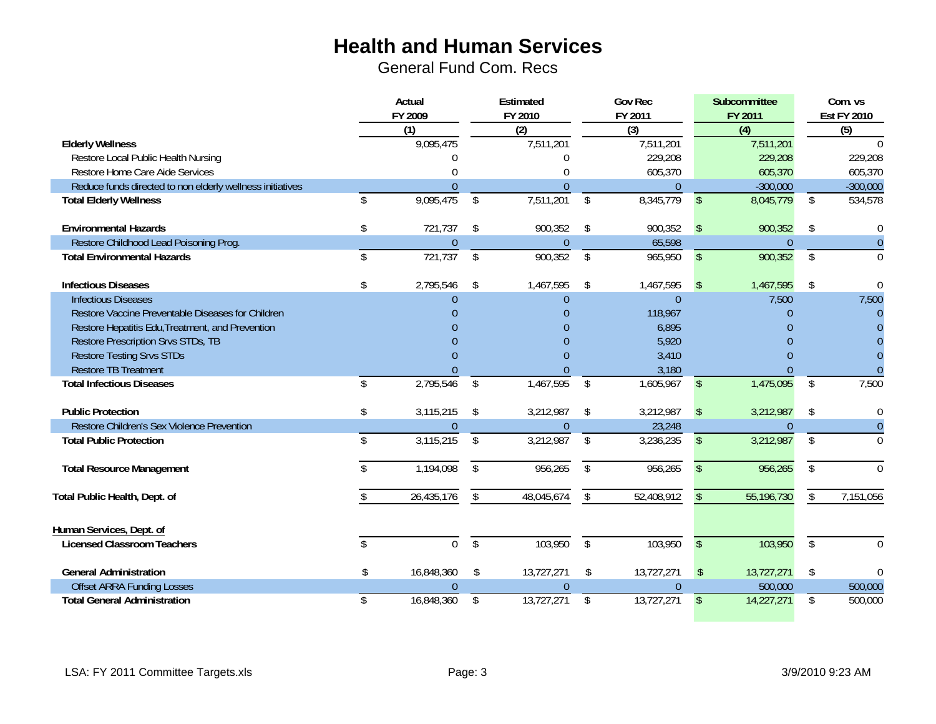|                                                           | Actual           |              | Estimated      |              | <b>Gov Rec</b> |                         | Subcommittee |                         | Com. vs            |
|-----------------------------------------------------------|------------------|--------------|----------------|--------------|----------------|-------------------------|--------------|-------------------------|--------------------|
|                                                           | FY 2009          |              | FY 2010        |              | FY 2011        |                         | FY 2011      |                         | <b>Est FY 2010</b> |
|                                                           | (1)              |              | (2)            |              | (3)            |                         | (4)          |                         | $\overline{(5)}$   |
| <b>Elderly Wellness</b>                                   | 9,095,475        |              | 7,511,201      |              | 7,511,201      |                         | 7,511,201    |                         | $\Omega$           |
| Restore Local Public Health Nursing                       |                  |              | U              |              | 229,208        |                         | 229,208      |                         | 229,208            |
| Restore Home Care Aide Services                           |                  |              | 0              |              | 605,370        |                         | 605,370      |                         | 605,370            |
| Reduce funds directed to non elderly wellness initiatives | 0                |              | $\overline{0}$ |              | $\overline{0}$ |                         | $-300,000$   |                         | $-300,000$         |
| <b>Total Elderly Wellness</b>                             | \$<br>9,095,475  | $\mathbb{S}$ | 7,511,201      | \$           | 8,345,779      | $\sqrt{2}$              | 8,045,779    | \$                      | 534,578            |
| <b>Environmental Hazards</b>                              | \$<br>721,737    | \$           | 900,352        | \$           | 900,352        | $\mathsf{\$}$           | 900,352      | \$                      | 0                  |
| Restore Childhood Lead Poisoning Prog.                    | 0                |              | $\theta$       |              | 65,598         |                         | $\Omega$     |                         | $\theta$           |
| <b>Total Environmental Hazards</b>                        | \$<br>721,737    | \$           | 900,352        | \$           | 965,950        | $\mathbb{S}$            | 900,352      | \$                      | $\Omega$           |
| <b>Infectious Diseases</b>                                | 2,795,546        | \$           | 1,467,595      | \$           | 1,467,595      | $\sqrt{2}$              | 1,467,595    | \$                      | $\Omega$           |
| <b>Infectious Diseases</b>                                | $\Omega$         |              | $\Omega$       |              | $\overline{0}$ |                         | 7,500        |                         | 7,500              |
| Restore Vaccine Preventable Diseases for Children         |                  |              | 0              |              | 118,967        |                         | $\Omega$     |                         | $\Omega$           |
| Restore Hepatitis Edu, Treatment, and Prevention          |                  |              |                |              | 6,895          |                         | $\Omega$     |                         | n                  |
| Restore Prescription Srvs STDs, TB                        |                  |              | $\Omega$       |              | 5,920          |                         | $\Omega$     |                         |                    |
| <b>Restore Testing Srvs STDs</b>                          |                  |              | U              |              | 3,410          |                         | $\Omega$     |                         | $\Omega$           |
| <b>Restore TB Treatment</b>                               |                  |              |                |              | 3,180          |                         |              |                         |                    |
| <b>Total Infectious Diseases</b>                          | \$<br>2,795,546  | \$           | 1,467,595      | \$           | 1,605,967      | $\sqrt[6]{\frac{1}{2}}$ | 1,475,095    | \$                      | 7,500              |
| <b>Public Protection</b>                                  | \$<br>3,115,215  | \$           | 3,212,987      | \$           | 3,212,987      | $\sqrt{2}$              | 3,212,987    | \$                      | $\Omega$           |
| Restore Children's Sex Violence Prevention                | $\Omega$         |              | $\overline{0}$ |              | 23,248         |                         | $\Omega$     |                         | $\theta$           |
| <b>Total Public Protection</b>                            | 3,115,215        | \$           | 3,212,987      | \$           | 3,236,235      | $\mathfrak{L}$          | 3,212,987    | \$                      | $\Omega$           |
| <b>Total Resource Management</b>                          | 1,194,098        | $\mathbb{S}$ | 956,265        | \$           | 956,265        | $\mathbf{\hat{S}}$      | 956,265      | \$                      | $\Omega$           |
| Total Public Health, Dept. of                             | 26,435,176       | \$           | 48,045,674     | \$           | 52,408,912     | \$                      | 55,196,730   | \$                      | 7,151,056          |
| Human Services, Dept. of                                  |                  |              |                |              |                |                         |              |                         |                    |
| <b>Licensed Classroom Teachers</b>                        | \$<br>0          | $\mathbb{S}$ | 103,950        | $\mathbb{S}$ | 103,950        | $\mathcal{S}$           | 103,950      | $\sqrt[6]{\frac{1}{2}}$ | $\Omega$           |
| <b>General Administration</b>                             | \$<br>16,848,360 | \$           | 13,727,271     | \$           | 13,727,271     | $\mathcal{S}$           | 13,727,271   | \$                      | $\bigcap$          |
| <b>Offset ARRA Funding Losses</b>                         | $\Omega$         |              | $\Omega$       |              | $\Omega$       |                         | 500,000      |                         | 500,000            |
| <b>Total General Administration</b>                       | \$<br>16,848,360 | \$           | 13,727,271     | \$           | 13,727,271     | $\sqrt[6]{\frac{1}{2}}$ | 14,227,271   | \$                      | 500,000            |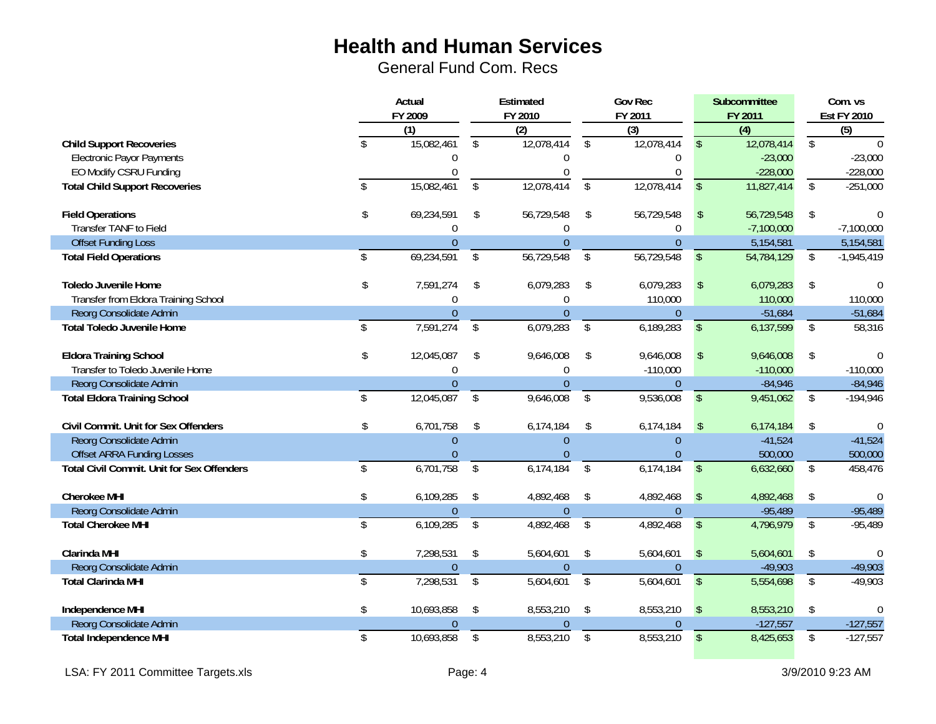|                                                   | Actual                  |                  | Estimated               |                  |                          | <b>Gov Rec</b> |                         | Subcommittee     | Com. vs         |                    |  |
|---------------------------------------------------|-------------------------|------------------|-------------------------|------------------|--------------------------|----------------|-------------------------|------------------|-----------------|--------------------|--|
|                                                   |                         | FY 2009          |                         | FY 2010          | FY 2011                  |                |                         | FY 2011          |                 | <b>Est FY 2010</b> |  |
|                                                   |                         | $\overline{(1)}$ |                         | $\overline{(2)}$ |                          | $\overline{3}$ |                         | $\overline{(4)}$ |                 | $\overline{(5)}$   |  |
| <b>Child Support Recoveries</b>                   | $\mathcal{S}$           | 15,082,461       | $\mathfrak{L}$          | 12,078,414       | $\mathcal{S}$            | 12,078,414     | $\mathcal{S}$           | 12,078,414       | \$              | ∩                  |  |
| Electronic Payor Payments                         |                         | 0                |                         | 0                |                          | 0              |                         | $-23,000$        |                 | $-23,000$          |  |
| EO Modify CSRU Funding                            |                         |                  |                         |                  |                          |                |                         | $-228,000$       |                 | $-228,000$         |  |
| <b>Total Child Support Recoveries</b>             | $\hat{\mathbf{S}}$      | 15,082,461       | \$                      | 12,078,414       | \$                       | 12,078,414     | $\sqrt[6]{\frac{1}{2}}$ | 11,827,414       | $\overline{\$}$ | $-251,000$         |  |
| <b>Field Operations</b>                           | \$                      | 69,234,591       | \$                      | 56,729,548       | \$                       | 56,729,548     | $\sqrt[6]{}$            | 56,729,548       | \$              | $\Omega$           |  |
| Transfer TANF to Field                            |                         | $\Omega$         |                         | 0                |                          | 0              |                         | $-7,100,000$     |                 | $-7,100,000$       |  |
| <b>Offset Funding Loss</b>                        |                         | $\Omega$         |                         | $\Omega$         |                          | $\Omega$       |                         | 5,154,581        |                 | 5,154,581          |  |
| <b>Total Field Operations</b>                     | $\mathbf{\hat{s}}$      | 69,234,591       | $\sqrt[6]{\frac{1}{2}}$ | 56,729,548       | $\sqrt[6]{\frac{1}{2}}$  | 56,729,548     | $\sqrt{2}$              | 54,784,129       | \$              | $-1,945,419$       |  |
| <b>Toledo Juvenile Home</b>                       | \$                      | 7,591,274        | \$                      | 6,079,283        | \$                       | 6,079,283      | $\sqrt{2}$              | 6,079,283        | \$              | $\Omega$           |  |
| Transfer from Eldora Training School              |                         | $\Omega$         |                         | 0                |                          | 110,000        |                         | 110,000          |                 | 110,000            |  |
| Reorg Consolidate Admin                           |                         | $\mathbf{0}$     |                         | $\mathbf{0}$     |                          | $\overline{0}$ |                         | $-51,684$        |                 | $-51,684$          |  |
| <b>Total Toledo Juvenile Home</b>                 | $\mathbf{\hat{s}}$      | 7,591,274        | $\sqrt{2}$              | 6,079,283        | \$                       | 6,189,283      | $\sqrt[6]{\frac{1}{2}}$ | 6,137,599        | \$              | 58,316             |  |
| <b>Eldora Training School</b>                     | \$                      | 12,045,087       | \$                      | 9,646,008        | \$                       | 9,646,008      | $\sqrt{2}$              | 9,646,008        | \$              | $\theta$           |  |
| Transfer to Toledo Juvenile Home                  |                         | $\Omega$         |                         | $\Omega$         |                          | $-110,000$     |                         | $-110,000$       |                 | $-110,000$         |  |
| Reorg Consolidate Admin                           |                         | $\overline{0}$   |                         | $\overline{0}$   |                          | $\overline{0}$ |                         | $-84,946$        |                 | $-84,946$          |  |
| <b>Total Eldora Training School</b>               | $\mathcal{S}$           | 12,045,087       | \$                      | 9,646,008        | $\overline{\$}$          | 9,536,008      | $\sqrt{2}$              | 9,451,062        | $\overline{\$}$ | $-194,946$         |  |
| Civil Commit. Unit for Sex Offenders              | \$                      | 6,701,758        | \$                      | 6,174,184        | \$                       | 6,174,184      | $\sqrt{2}$              | 6,174,184        | \$              | $\Omega$           |  |
| Reorg Consolidate Admin                           |                         | $\Omega$         |                         | $\Omega$         |                          | $\Omega$       |                         | $-41,524$        |                 | $-41,524$          |  |
| <b>Offset ARRA Funding Losses</b>                 |                         |                  |                         |                  |                          |                |                         | 500,000          |                 | 500,000            |  |
| <b>Total Civil Commit. Unit for Sex Offenders</b> | \$                      | 6,701,758        | $\sqrt[6]{\frac{1}{2}}$ | 6,174,184        | \$                       | 6,174,184      | $\sqrt[6]{\frac{1}{2}}$ | 6,632,660        | $\frac{1}{2}$   | 458,476            |  |
| <b>Cherokee MHI</b>                               | \$                      | 6,109,285        | -\$                     | 4,892,468        | \$                       | 4,892,468      | $\sqrt{2}$              | 4,892,468        | \$              | $\Omega$           |  |
| Reorg Consolidate Admin                           |                         | $\theta$         |                         | $\theta$         |                          | $\overline{0}$ |                         | $-95,489$        |                 | $-95,489$          |  |
| <b>Total Cherokee MHI</b>                         | \$                      | 6,109,285        | $\sqrt[6]{}$            | 4,892,468        | $\sqrt[6]{\frac{1}{2}}$  | 4,892,468      | $\sqrt[6]{\frac{1}{2}}$ | 4,796,979        | \$              | $-95,489$          |  |
| <b>Clarinda MHI</b>                               | \$                      | 7,298,531        | \$                      | 5,604,601        | \$                       | 5,604,601      | $\sqrt{2}$              | 5,604,601        | \$              | $\theta$           |  |
| Reorg Consolidate Admin                           |                         | $\Omega$         |                         | $\overline{0}$   |                          | $\Omega$       |                         | $-49,903$        |                 | $-49,903$          |  |
| <b>Total Clarinda MHI</b>                         | $\overline{\mathsf{s}}$ | 7,298,531        | $\overline{\$}$         | 5,604,601        | $\overline{\mathcal{S}}$ | 5,604,601      | $\overline{\$}$         | 5,554,698        | $\sqrt[6]{}$    | $-49,903$          |  |
| Independence MHI                                  | \$                      | 10,693,858       | $\sqrt[6]{\frac{1}{2}}$ | 8,553,210        | $\sqrt[6]{}$             | 8,553,210      | $\sqrt{3}$              | 8,553,210        | \$              | $\Omega$           |  |
| Reorg Consolidate Admin                           |                         | $\theta$         |                         | 0                |                          | 0              |                         | $-127,557$       |                 | $-127,557$         |  |
| <b>Total Independence MHI</b>                     | \$                      | 10,693,858       | \$                      | 8,553,210        | \$                       | 8,553,210      | $\sqrt[6]{\frac{1}{2}}$ | 8,425,653        | \$              | $-127,557$         |  |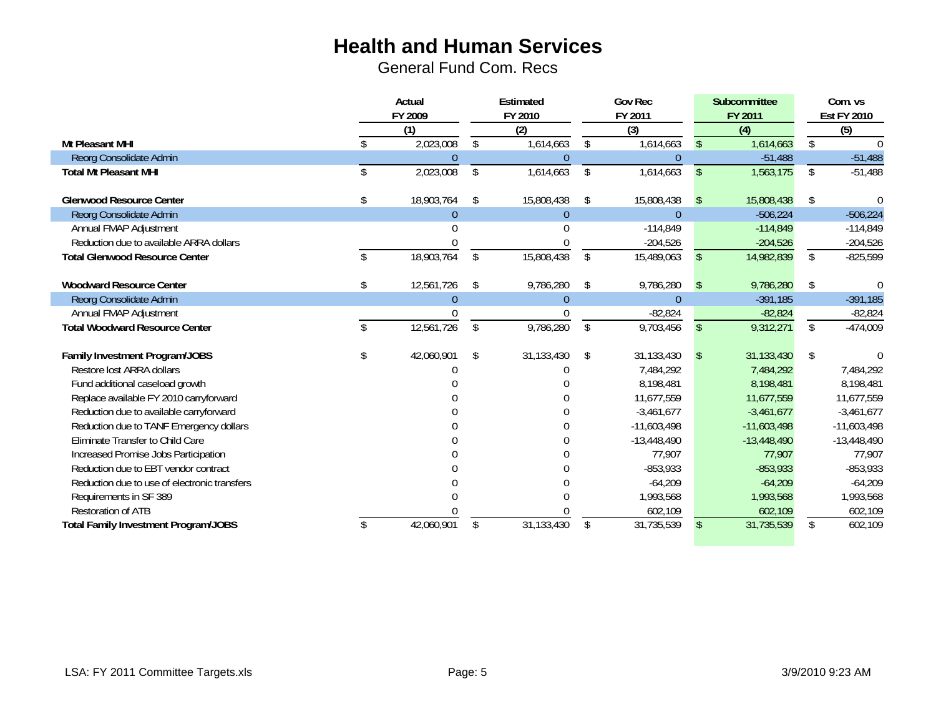|                                              | Actual           |     | Estimated      |    | Gov Rec       |               | Subcommittee  |    | Com. vs            |  |
|----------------------------------------------|------------------|-----|----------------|----|---------------|---------------|---------------|----|--------------------|--|
|                                              | FY 2009          |     | FY 2010        |    | FY 2011       |               | FY 2011       |    | <b>Est FY 2010</b> |  |
|                                              | (1)              |     | (2)            |    | (3)           |               | (4)           |    | $\overline{(5)}$   |  |
| Mt Pleasant MHI                              | 2,023,008        | \$  | 1,614,663      | \$ | 1,614,663     | $\mathsf{\$}$ | 1,614,663     | \$ |                    |  |
| Reorg Consolidate Admin                      | 0                |     | $\theta$       |    | $\Omega$      |               | $-51,488$     |    | $-51,488$          |  |
| <b>Total Mt Pleasant MHI</b>                 | 2,023,008        | \$  | 1,614,663      | \$ | 1,614,663     | $\sqrt{2}$    | 1,563,175     | \$ | $-51,488$          |  |
| <b>Glenwood Resource Center</b>              | 18,903,764       | -\$ | 15,808,438     | \$ | 15,808,438    | $\sqrt{3}$    | 15,808,438    | \$ | ſ                  |  |
| Reorg Consolidate Admin                      | 0                |     | 0              |    | $\Omega$      |               | $-506,224$    |    | $-506,224$         |  |
| Annual FMAP Adjustment                       |                  |     |                |    | $-114,849$    |               | $-114,849$    |    | $-114,849$         |  |
| Reduction due to available ARRA dollars      |                  |     |                |    | $-204,526$    |               | $-204,526$    |    | $-204,526$         |  |
| <b>Total Glenwood Resource Center</b>        | 18,903,764       | \$  | 15,808,438     | \$ | 15,489,063    | \$            | 14,982,839    | \$ | $-825,599$         |  |
|                                              |                  |     |                |    |               |               |               |    |                    |  |
| <b>Woodward Resource Center</b>              | \$<br>12,561,726 | -\$ | 9,786,280      | \$ | 9,786,280     | $\mathbb{S}$  | 9,786,280     | \$ |                    |  |
| Reorg Consolidate Admin                      | $\Omega$         |     | $\overline{0}$ |    | $\Omega$      |               | $-391,185$    |    | $-391,185$         |  |
| Annual FMAP Adjustment                       |                  |     |                |    | $-82,824$     |               | $-82,824$     |    | $-82,824$          |  |
| <b>Total Woodward Resource Center</b>        | 12,561,726       | \$  | 9,786,280      | \$ | 9,703,456     | $\mathsf{\$}$ | 9,312,271     | \$ | $-474,009$         |  |
|                                              |                  |     |                |    |               |               |               |    |                    |  |
| Family Investment Program/JOBS               | \$<br>42,060,901 | \$  | 31,133,430     | \$ | 31,133,430    | $\mathcal{L}$ | 31,133,430    | \$ |                    |  |
| Restore lost ARRA dollars                    |                  |     |                |    | 7,484,292     |               | 7,484,292     |    | 7,484,292          |  |
| Fund additional caseload growth              |                  |     |                |    | 8,198,481     |               | 8,198,481     |    | 8,198,481          |  |
| Replace available FY 2010 carryforward       |                  |     |                |    | 11,677,559    |               | 11,677,559    |    | 11,677,559         |  |
| Reduction due to available carryforward      |                  |     |                |    | $-3,461,677$  |               | $-3,461,677$  |    | $-3,461,677$       |  |
| Reduction due to TANF Emergency dollars      |                  |     |                |    | $-11,603,498$ |               | $-11,603,498$ |    | $-11,603,498$      |  |
| Eliminate Transfer to Child Care             |                  |     |                |    | $-13,448,490$ |               | $-13,448,490$ |    | $-13,448,490$      |  |
| Increased Promise Jobs Participation         |                  |     |                |    | 77,907        |               | 77,907        |    | 77,907             |  |
| Reduction due to EBT vendor contract         |                  |     |                |    | $-853,933$    |               | $-853,933$    |    | $-853,933$         |  |
| Reduction due to use of electronic transfers |                  |     |                |    | $-64,209$     |               | $-64,209$     |    | $-64,209$          |  |
| Requirements in SF 389                       |                  |     |                |    | 1,993,568     |               | 1,993,568     |    | 1,993,568          |  |
| <b>Restoration of ATB</b>                    |                  |     |                |    | 602,109       |               | 602,109       |    | 602,109            |  |
| <b>Total Family Investment Program/JOBS</b>  | 42,060,901       | S   | 31,133,430     | \$ | 31,735,539    | $\mathbb{S}$  | 31,735,539    | \$ | 602,109            |  |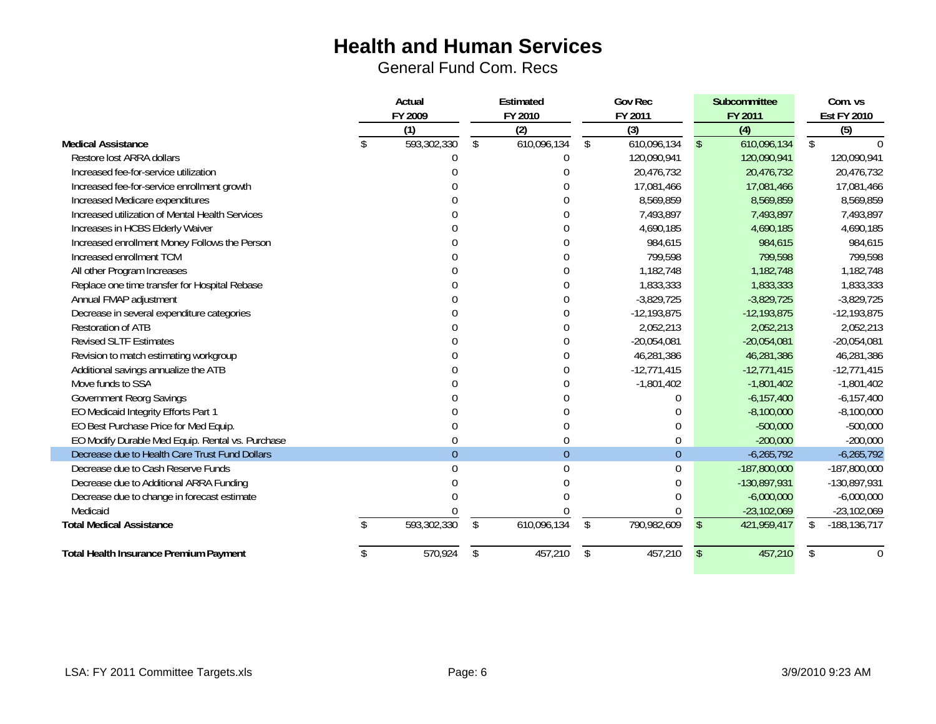|                                                  | Actual      |                    | Estimated   |                | <b>Gov Rec</b> |                | Subcommittee   |     | Com. vs            |
|--------------------------------------------------|-------------|--------------------|-------------|----------------|----------------|----------------|----------------|-----|--------------------|
|                                                  | FY 2009     |                    | FY 2010     |                | FY 2011        |                | FY 2011        |     | <b>Est FY 2010</b> |
|                                                  | (1)         |                    | (2)         |                | (3)            |                | (4)            |     | (5)                |
| <b>Medical Assistance</b>                        | 593,302,330 | $\mathbf{\hat{S}}$ | 610,096,134 | $\mathfrak{L}$ | 610,096,134    | $\mathcal{L}$  | 610,096,134    | \$  |                    |
| Restore lost ARRA dollars                        |             |                    |             |                | 120,090,941    |                | 120,090,941    |     | 120,090,941        |
| Increased fee-for-service utilization            |             |                    |             |                | 20,476,732     |                | 20,476,732     |     | 20,476,732         |
| Increased fee-for-service enrollment growth      |             |                    |             |                | 17,081,466     |                | 17,081,466     |     | 17,081,466         |
| Increased Medicare expenditures                  |             |                    |             |                | 8,569,859      |                | 8,569,859      |     | 8,569,859          |
| Increased utilization of Mental Health Services  |             |                    |             |                | 7,493,897      |                | 7,493,897      |     | 7,493,897          |
| Increases in HCBS Elderly Waiver                 |             |                    |             |                | 4,690,185      |                | 4,690,185      |     | 4,690,185          |
| Increased enrollment Money Follows the Person    |             |                    |             |                | 984,615        |                | 984,615        |     | 984,615            |
| Increased enrollment TCM                         |             |                    |             |                | 799,598        |                | 799,598        |     | 799,598            |
| All other Program Increases                      |             |                    |             |                | 1,182,748      |                | 1,182,748      |     | 1,182,748          |
| Replace one time transfer for Hospital Rebase    |             |                    |             |                | 1,833,333      |                | 1,833,333      |     | 1,833,333          |
| Annual FMAP adjustment                           |             |                    |             |                | $-3,829,725$   |                | $-3,829,725$   |     | $-3,829,725$       |
| Decrease in several expenditure categories       |             |                    |             |                | $-12,193,875$  |                | $-12,193,875$  |     | $-12,193,875$      |
| <b>Restoration of ATB</b>                        |             |                    |             |                | 2,052,213      |                | 2,052,213      |     | 2,052,213          |
| <b>Revised SLTF Estimates</b>                    |             |                    |             |                | $-20,054,081$  |                | $-20,054,081$  |     | $-20,054,081$      |
| Revision to match estimating workgroup           |             |                    |             |                | 46,281,386     |                | 46,281,386     |     | 46,281,386         |
| Additional savings annualize the ATB             |             |                    |             |                | $-12,771,415$  |                | $-12,771,415$  |     | $-12,771,415$      |
| Move funds to SSA                                |             |                    |             |                | $-1,801,402$   |                | $-1,801,402$   |     | $-1,801,402$       |
| <b>Government Reorg Savings</b>                  |             |                    |             |                |                |                | $-6,157,400$   |     | $-6, 157, 400$     |
| EO Medicaid Integrity Efforts Part 1             |             |                    |             |                |                |                | $-8,100,000$   |     | $-8,100,000$       |
| EO Best Purchase Price for Med Equip.            |             |                    |             |                |                |                | $-500,000$     |     | $-500,000$         |
| EO Modify Durable Med Equip. Rental vs. Purchase |             |                    |             |                | $\theta$       |                | $-200,000$     |     | $-200,000$         |
| Decrease due to Health Care Trust Fund Dollars   | $\Omega$    |                    | $\Omega$    |                | $\overline{0}$ |                | $-6,265,792$   |     | $-6,265,792$       |
| Decrease due to Cash Reserve Funds               |             |                    |             |                | $\Omega$       |                | $-187,800,000$ |     | $-187,800,000$     |
| Decrease due to Additional ARRA Funding          |             |                    |             |                |                |                | -130,897,931   |     | -130,897,931       |
| Decrease due to change in forecast estimate      |             |                    |             |                |                |                | $-6,000,000$   |     | $-6,000,000$       |
| Medicaid                                         |             |                    |             |                |                |                | $-23,102,069$  |     | $-23,102,069$      |
| <b>Total Medical Assistance</b>                  | 593,302,330 | $\mathfrak{L}$     | 610,096,134 | $\mathcal{S}$  | 790,982,609    | $\mathfrak{L}$ | 421,959,417    | \$. | $-188, 136, 717$   |
| <b>Total Health Insurance Premium Payment</b>    | 570,924     | \$                 | 457,210     | \$             | 457,210        | $\mathcal{S}$  | 457,210        | S.  | $\theta$           |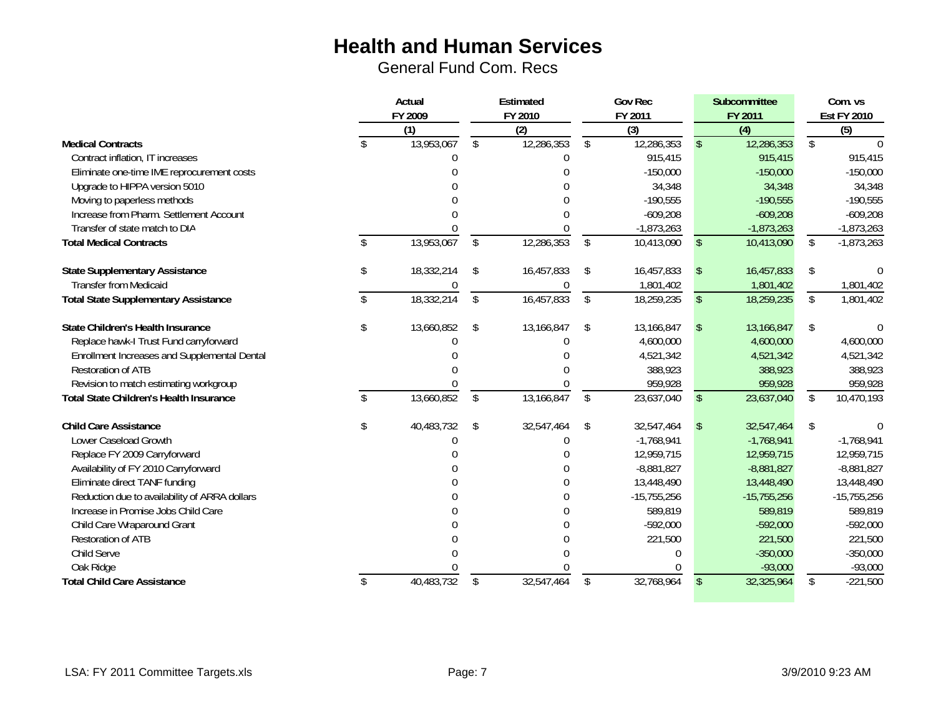|                                                | Actual<br>FY 2009 |                    | Estimated<br>FY 2010 |    | <b>Gov Rec</b><br>FY 2011 |                         | Subcommittee<br>FY 2011 |                 | Com. vs<br><b>Est FY 2010</b> |  |
|------------------------------------------------|-------------------|--------------------|----------------------|----|---------------------------|-------------------------|-------------------------|-----------------|-------------------------------|--|
|                                                | (1)               |                    | (2)                  |    | (3)                       |                         | (4)                     | (5)             |                               |  |
| <b>Medical Contracts</b>                       | \$<br>13,953,067  | $\mathbf{\hat{s}}$ | 12,286,353           | \$ | 12,286,353                | <sup>\$</sup>           | 12,286,353              | \$              |                               |  |
| Contract inflation, IT increases               |                   |                    |                      |    | 915,415                   |                         | 915,415                 |                 | 915,415                       |  |
| Eliminate one-time IME reprocurement costs     |                   |                    |                      |    | $-150,000$                |                         | $-150,000$              |                 | $-150,000$                    |  |
| Upgrade to HIPPA version 5010                  |                   |                    |                      |    | 34,348                    |                         | 34,348                  |                 | 34,348                        |  |
| Moving to paperless methods                    |                   |                    |                      |    | $-190,555$                |                         | $-190,555$              |                 | $-190,555$                    |  |
| Increase from Pharm. Settlement Account        |                   |                    |                      |    | $-609,208$                |                         | $-609,208$              |                 | $-609,208$                    |  |
| Transfer of state match to DIA                 |                   |                    |                      |    | $-1,873,263$              |                         | $-1,873,263$            |                 | $-1,873,263$                  |  |
| <b>Total Medical Contracts</b>                 | \$<br>13,953,067  | \$                 | 12,286,353           | \$ | 10,413,090                | $\sqrt[6]{\frac{1}{2}}$ | 10,413,090              | \$              | $-1,873,263$                  |  |
| <b>State Supplementary Assistance</b>          | \$<br>18,332,214  | \$                 | 16,457,833           | \$ | 16,457,833                | $\sqrt{2}$              | 16,457,833              | \$              |                               |  |
| <b>Transfer from Medicaid</b>                  |                   |                    |                      |    | 1,801,402                 |                         | 1,801,402               |                 | 1,801,402                     |  |
| <b>Total State Supplementary Assistance</b>    | 18,332,214        | \$                 | 16,457,833           | \$ | 18,259,235                | $\mathcal{L}$           | 18,259,235              | $\overline{\$}$ | 1,801,402                     |  |
| State Children's Health Insurance              | \$<br>13,660,852  | \$                 | 13,166,847           | \$ | 13,166,847                | $\mathfrak{F}$          | 13,166,847              | \$              |                               |  |
| Replace hawk-I Trust Fund carryforward         |                   |                    |                      |    | 4,600,000                 |                         | 4,600,000               |                 | 4,600,000                     |  |
| Enrollment Increases and Supplemental Dental   |                   |                    |                      |    | 4,521,342                 |                         | 4,521,342               |                 | 4,521,342                     |  |
| <b>Restoration of ATB</b>                      |                   |                    |                      |    | 388,923                   |                         | 388,923                 |                 | 388,923                       |  |
| Revision to match estimating workgroup         |                   |                    |                      |    | 959,928                   |                         | 959,928                 |                 | 959,928                       |  |
| <b>Total State Children's Health Insurance</b> | 13,660,852        | \$                 | 13,166,847           | \$ | 23,637,040                | $\mathcal{S}$           | 23,637,040              | \$              | 10,470,193                    |  |
| <b>Child Care Assistance</b>                   | \$<br>40,483,732  | \$                 | 32,547,464           | \$ | 32,547,464                | <sup>\$</sup>           | 32,547,464              | \$              |                               |  |
| Lower Caseload Growth                          |                   |                    |                      |    | $-1,768,941$              |                         | $-1,768,941$            |                 | $-1,768,941$                  |  |
| Replace FY 2009 Carryforward                   |                   |                    |                      |    | 12,959,715                |                         | 12,959,715              |                 | 12,959,715                    |  |
| Availability of FY 2010 Carryforward           |                   |                    |                      |    | $-8,881,827$              |                         | $-8,881,827$            |                 | $-8,881,827$                  |  |
| Eliminate direct TANF funding                  |                   |                    |                      |    | 13,448,490                |                         | 13,448,490              |                 | 13,448,490                    |  |
| Reduction due to availability of ARRA dollars  |                   |                    | 0                    |    | $-15,755,256$             |                         | $-15,755,256$           |                 | $-15,755,256$                 |  |
| Increase in Promise Jobs Child Care            |                   |                    |                      |    | 589,819                   |                         | 589,819                 |                 | 589,819                       |  |
| Child Care Wraparound Grant                    |                   |                    |                      |    | $-592,000$                |                         | $-592,000$              |                 | $-592,000$                    |  |
| <b>Restoration of ATB</b>                      |                   |                    |                      |    | 221,500                   |                         | 221,500                 |                 | 221,500                       |  |
| Child Serve                                    |                   |                    |                      |    |                           |                         | $-350,000$              |                 | $-350,000$                    |  |
| Oak Ridge                                      |                   |                    |                      |    |                           |                         | $-93,000$               |                 | $-93,000$                     |  |
| <b>Total Child Care Assistance</b>             | 40,483,732        | \$                 | 32,547,464           | \$ | 32,768,964                | $\mathcal{L}$           | 32,325,964              | \$              | $-221,500$                    |  |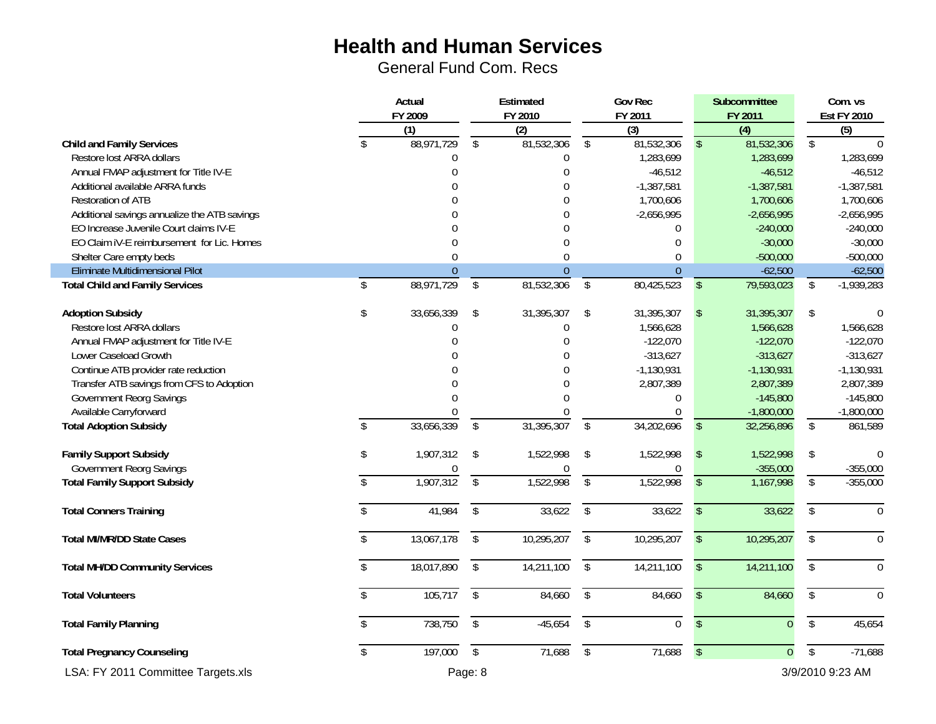|                                              | Actual<br>FY 2009 |                  |                         | Estimated<br>FY 2010 |                          | Gov Rec<br>FY 2011 |                         | Subcommittee<br>FY 2011 |                         | Com. vs<br><b>Est FY 2010</b> |
|----------------------------------------------|-------------------|------------------|-------------------------|----------------------|--------------------------|--------------------|-------------------------|-------------------------|-------------------------|-------------------------------|
|                                              |                   | (1)              |                         | (2)                  |                          | (3)                |                         | (4)                     |                         | $\overline{(5)}$              |
| <b>Child and Family Services</b>             | \$                | 88,971,729       | \$                      | 81,532,306           | $\mathbb{S}$             | 81,532,306         | $\mathbb{S}$            | 81,532,306              | $\overline{\$}$         | $\bigcap$                     |
| Restore lost ARRA dollars                    |                   | $\boldsymbol{0}$ |                         | $\boldsymbol{0}$     |                          | 1,283,699          |                         | 1,283,699               |                         | 1,283,699                     |
| Annual FMAP adjustment for Title IV-E        |                   | $\mathbf 0$      |                         | $\mathbf 0$          |                          | $-46,512$          |                         | $-46,512$               |                         | $-46,512$                     |
| Additional available ARRA funds              |                   | $\Omega$         |                         | $\Omega$             |                          | $-1,387,581$       |                         | $-1,387,581$            |                         | $-1,387,581$                  |
| <b>Restoration of ATB</b>                    |                   | $\Omega$         |                         | $\overline{0}$       |                          | 1,700,606          |                         | 1,700,606               |                         | 1,700,606                     |
| Additional savings annualize the ATB savings |                   |                  |                         | $\boldsymbol{0}$     |                          | $-2,656,995$       |                         | $-2,656,995$            |                         | $-2,656,995$                  |
| EO Increase Juvenile Court claims IV-E       |                   | $\Omega$         |                         | $\mathbf 0$          |                          | $\boldsymbol{0}$   |                         | $-240,000$              |                         | $-240,000$                    |
| EO Claim IV-E reimbursement for Lic. Homes   |                   | $\Omega$         |                         | $\mathbf{0}$         |                          | $\mathbf 0$        |                         | $-30,000$               |                         | $-30,000$                     |
| Shelter Care empty beds                      |                   | $\mathbf{0}$     |                         | $\mathbf{0}$         |                          | $\mathbf 0$        |                         | $-500,000$              |                         | $-500,000$                    |
| Eliminate Multidimensional Pilot             |                   | $\mathbf{0}$     |                         | $\theta$             |                          | $\overline{0}$     |                         | $-62,500$               |                         | $-62,500$                     |
| <b>Total Child and Family Services</b>       | \$                | 88,971,729       | \$                      | 81,532,306           | \$                       | 80,425,523         | $\mathfrak{L}$          | 79,593,023              | \$                      | $-1,939,283$                  |
| <b>Adoption Subsidy</b>                      | \$                | 33,656,339       | \$                      | 31,395,307           | \$                       | 31,395,307         | $\sqrt[6]{\frac{1}{2}}$ | 31,395,307              | \$                      | $\Omega$                      |
| Restore lost ARRA dollars                    |                   | $\Omega$         |                         | $\boldsymbol{0}$     |                          | 1,566,628          |                         | 1,566,628               |                         | 1,566,628                     |
| Annual FMAP adjustment for Title IV-E        |                   | $\Omega$         |                         | $\mathbf 0$          |                          | $-122,070$         |                         | $-122,070$              |                         | $-122,070$                    |
| Lower Caseload Growth                        |                   | $\Omega$         |                         | $\Omega$             |                          | $-313,627$         |                         | $-313,627$              |                         | $-313,627$                    |
| Continue ATB provider rate reduction         |                   |                  |                         | $\theta$             |                          | $-1,130,931$       |                         | $-1,130,931$            |                         | $-1,130,931$                  |
| Transfer ATB savings from CFS to Adoption    |                   | $\Omega$         |                         | $\mathbf 0$          |                          | 2,807,389          |                         | 2,807,389               |                         | 2,807,389                     |
| <b>Government Reorg Savings</b>              |                   | $\Omega$         |                         | $\Omega$             |                          | $\theta$           |                         | $-145,800$              |                         | $-145,800$                    |
| Available Carryforward                       |                   | $\Omega$         |                         | 0                    |                          | $\theta$           |                         | $-1,800,000$            |                         | $-1,800,000$                  |
| <b>Total Adoption Subsidy</b>                | $\mathcal{S}$     | 33,656,339       | $\mathfrak{L}$          | 31,395,307           | \$                       | 34,202,696         | $\mathfrak{L}$          | 32,256,896              | $\frac{1}{2}$           | 861,589                       |
| <b>Family Support Subsidy</b>                | \$                | 1,907,312        | \$                      | 1,522,998            | $\sqrt[6]{\frac{1}{2}}$  | 1,522,998          | $\mathsf{\$}$           | 1,522,998               | \$                      | $\Omega$                      |
| <b>Government Reorg Savings</b>              |                   | $\theta$         |                         | $\theta$             |                          | $\theta$           |                         | $-355,000$              |                         | $-355,000$                    |
| <b>Total Family Support Subsidy</b>          | \$                | 1,907,312        | $\overline{\$}$         | 1,522,998            | $\overline{\mathcal{L}}$ | 1,522,998          | $\sqrt[6]{\frac{1}{2}}$ | 1,167,998               | $\overline{\mathsf{S}}$ | $-355,000$                    |
| <b>Total Conners Training</b>                | \$                | 41,984           | $\mathfrak{L}$          | 33,622               | $\mathbb{S}$             | 33,622             | $\mathbf{\hat{S}}$      | 33,622                  | \$                      | $\mathbf{0}$                  |
| <b>Total MI/MR/DD State Cases</b>            | $\mathsf{\$}$     | 13,067,178       | $\overline{\$}$         | 10,295,207           | $\overline{\$}$          | 10,295,207         | $\overline{\$}$         | 10,295,207              | $\overline{\$}$         | $\overline{0}$                |
| <b>Total MH/DD Community Services</b>        | \$                | 18,017,890       | $\sqrt[6]{\frac{1}{2}}$ | 14,211,100           | \$                       | 14,211,100         | $\sqrt[6]{\frac{1}{2}}$ | 14,211,100              | \$                      | $\mathbf 0$                   |
| <b>Total Volunteers</b>                      | \$                | 105,717          | $\overline{\$}$         | 84,660               | $\overline{\$}$          | 84,660             | $\sqrt[6]{\frac{1}{2}}$ | 84,660                  | $\overline{\$}$         | $\theta$                      |
| <b>Total Family Planning</b>                 | \$                | 738,750          | $\sqrt[6]{\frac{1}{2}}$ | $-45,654$            | $\overline{\$}$          | $\overline{0}$     | $\mathsf{\$}$           | $\overline{0}$          | $\overline{\$}$         | 45,654                        |
| <b>Total Pregnancy Counseling</b>            | \$                | 197,000          | $\sqrt{2}$              | 71,688               | \$                       | 71,688             | $\sqrt[6]{\frac{1}{2}}$ | $\overline{0}$          | $\overline{\$}$         | $-71,688$                     |
| LSA: FY 2011 Committee Targets.xls           |                   |                  | Page: 8                 |                      |                          |                    |                         |                         |                         | 3/9/2010 9:23 AM              |